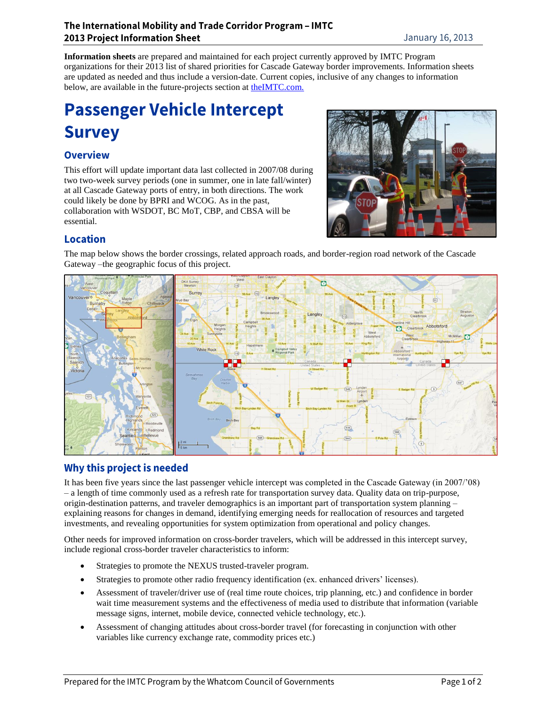#### The International Mobility and Trade Corridor Program - IMTC **2013 Project Information Sheet**

**Information sheets** are prepared and maintained for each project currently approved by IMTC Program organizations for their 2013 list of shared priorities for Cascade Gateway border improvements. Information sheets are updated as needed and thus include a version-date. Current copies, inclusive of any changes to information below, are available in the future-projects section at [theIMTC.com.](http://www.theimtc.com/)

# **Passenger Vehicle Intercept Survey**

# **Overview**

This effort will update important data last collected in 2007/08 during two two-week survey periods (one in summer, one in late fall/winter) at all Cascade Gateway ports of entry, in both directions. The work could likely be done by BPRI and WCOG. As in the past, collaboration with WSDOT, BC MoT, CBP, and CBSA will be essential.



# **Location**

The map below shows the border crossings, related approach roads, and border-region road network of the Cascade Gateway –the geographic focus of this project.



# Why this project is needed

It has been five years since the last passenger vehicle intercept was completed in the Cascade Gateway (in 2007/'08) – a length of time commonly used as a refresh rate for transportation survey data. Quality data on trip-purpose, origin-destination patterns, and traveler demographics is an important part of transportation system planning – explaining reasons for changes in demand, identifying emerging needs for reallocation of resources and targeted investments, and revealing opportunities for system optimization from operational and policy changes.

Other needs for improved information on cross-border travelers, which will be addressed in this intercept survey, include regional cross-border traveler characteristics to inform:

- Strategies to promote the NEXUS trusted-traveler program.
- Strategies to promote other radio frequency identification (ex. enhanced drivers' licenses).
- Assessment of traveler/driver use of (real time route choices, trip planning, etc.) and confidence in border wait time measurement systems and the effectiveness of media used to distribute that information (variable message signs, internet, mobile device, connected vehicle technology, etc.).
- Assessment of changing attitudes about cross-border travel (for forecasting in conjunction with other variables like currency exchange rate, commodity prices etc.)